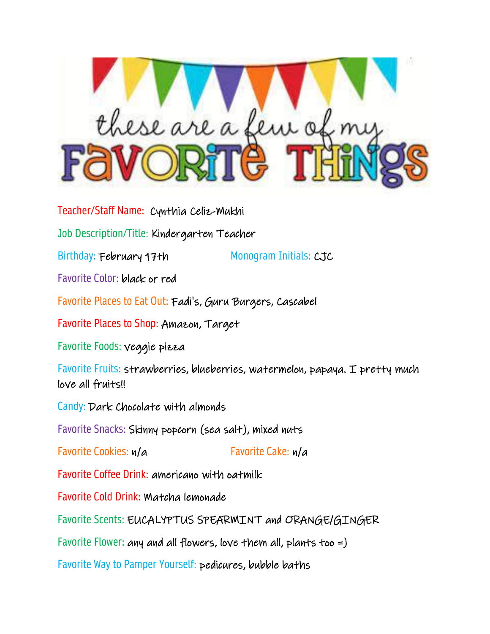

Teacher/Staff Name: Cynthia Celiz-Mukhi

Job Description/Title: Kindergarten Teacher

Birthday: February 17th Monogram Initials: CJC

Favorite Color: black or red

Favorite Places to Eat Out: Fadi's, Guru Burgers, Cascabel

Favorite Places to Shop: Amazon, Target

Favorite Foods: veggie pizza

Favorite Fruits: strawberries, blueberries, watermelon, papaya. I pretty much love all fruits!!

Candy: Dark Chocolate with almonds

Favorite Snacks: Skinny popcorn (sea salt), mixed nuts

Favorite Cookies:  $n/a$  Favorite Cake:  $n/a$ 

Favorite Coffee Drink: americano with oatmilk

Favorite Cold Drink: Matcha lemonade

Favorite Scents: EUCALYPTUS SPEARMINT and ORANGE/GINGER

Favorite Flower: any and all flowers, love them all, plants too =)

Favorite Way to Pamper Yourself: pedicures, bubble baths